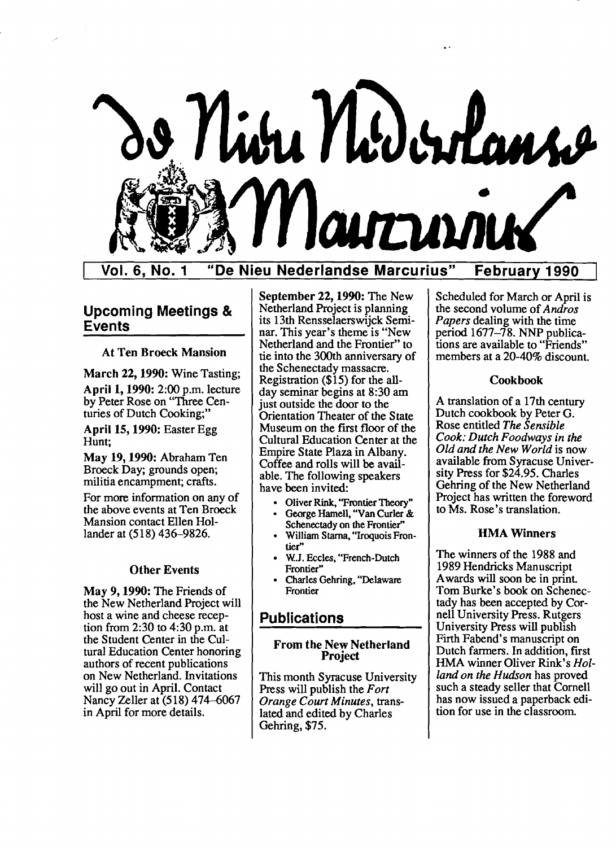

Vol. 6, No.1 "De Nieu Nederlandse Marcurius" February 1990

# Upcoming Meetings & Events

#### At Ten Broeck Mansion

March 22, 1990: Wine Tasting; April 1, 1990: 2:00 p.m. lecture by Peter Rose on "Three Cen turies of Dutch Cooking;"

April 15, 1990: Easter Egg Hunt;

May 19, 1990: Abraham Ten Broeck Day; grounds open; militia encampment; crafts.

For more information on any of the above events at Ten Broeck Mansion contact Ellen Hol lander at (518) 436-9826.

#### Other Events

May 9, 1990: The Friends of the New Netherland Project will host a wine and cheese reception from 2:30 to 4:30 p.m. at the Student Center in the Cultural Education Center honoring authors of recent publications on New Netherland. Invitations will go out in April. Contact Nancy Zeller at (518) 474-6067 in April for more details.

September 22, 1990: The New Netherland Project is planning its 13th Rensselaerswijck Seminar. This year's theme is "New Netherland and the Frontier" to tie into the 300th anniversary of the Schenectady massacre. Registration (\$15) for the allday seminar begins at 8:30 am just outside the door to the Orientation Theater of the State Museum on the first floor of the Cultural Education Center at the Empire State Plaza in Albany. Coffee and rolls will be available. The following speakers have been invited:

- Oliver Rink, "Frontier Theory"
- George Hamell, "Van Curler & Schenectady on the Frontier"
- William Starna, "Iroquois Frontier"
- W.J. Eccles, "French-Dutch Frontier"
- Charles Gehring, "Delaware Frontier

# **Publications**

#### From the New Netherland Project

This month Syracuse University Press will publish the *Fort Orange Court Minutes,* translated and edited by Charles Gehring, \$75.

Scheduled for March or April is the second volume of *Andros Papers* dealing with the time period 1677-78. NNP publications are available to "Friends" members at a 20-40% discount.

#### Cookbook

A translation of a 17th century Dutch cookbook by Peter G. Rose entitled *The Sensible Cook: Dutch Foodways in the Old and the New World* is now available from Syracuse University Press for \$24.95. Charles Gehring of the New Netherland Project has written the foreword to Ms. Rose's translation.

#### HMA Winners

The winners of the 1988 and 1989 Hendricks Manuscript Awards will soon be in print. Tom Burke's book on Schenectady has been accepted by Cornell University Press. Rutgers University Press will publish Firth Fabend's manuscript on Dutch farmers. In addition, first HMA winner Oliver Rink's *Holland on the Hudson* has proved such a steady seller that Cornell has now issued a paperback edition for use in the classroom.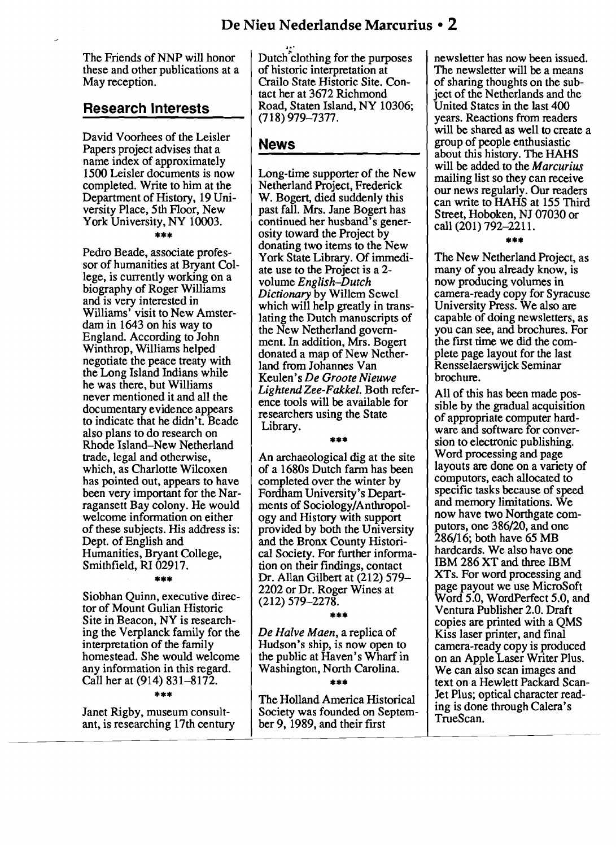The Friends of NNP will honor Dutch clothing for the purposes newsletter has now been issued.<br>these and other publications at a of historic interpretation at The newsletter will be a means these and other publications at a of historic interpretation at May reception.

### **Research Interests**

David Voorhees of the Leisler Papers project advises that a name index of approximately 1500 Leisler documents is now completed. Write to him at the Department of History, 19 University Place, 5th Floor, New York University, NY 10003.

#### \*\*\*

Pedro Beade, associate professor of humanities at Bryant College, is currently working on a biography of Roger Williams and is very interested in Williams' visit to New Amsterdam in 1643 on his way to England. According to John Winthrop, Williams helped negotiate the peace treaty with the Long Island Indians while he was there, but Williams never mentioned it and all the documentary evidence appears to indicate that he didn't. Beade also plans to do research on Rhode Island–New Netherland<br>trade, legal and otherwise, which, as Charlotte Wilcoxen has pointed out, appears to have been very important for the Nar-<br>ragansett Bay colony. He would ments of Sociology/Anthropol-<br>and memory limitations. We ragansett Bay colony. He would welcome information on either of these subjects. His address is: Dept. of English and Humanities, Bryant College, Smithfield, RI 02917.

#### \*\*\*

Siobhan Quinn, executive director of Mount Gulian Historic Site in Beacon, NY is research-<br>ing the Verplanck family for the ing the Verplanck family for the De Halve Maen, a replica of Kiss laser printer, and final<br>interpretation of the family Hudson's ship, is now open to<br>homestead. She would welcome the public at Haven's Wharf in on an Apple

#### \*\*\*

Janet Rigby, museum consultant, is researching 17th century

.., Crailo State Historic Site. Con-<br>tact her at 3672 Richmond<br>iect of the Netherlands and the tact her at 3672 Richmond<br>Road, Staten Island, NY 10306; United States in the last 400 (718) 979-7377.

### **News**

Long-time supporter of the New Netherland Project, Frederick W. Bogert, died suddenly this past fall. Mrs. Jane Bogert has continued her husband's generosity toward the Project by donating two items to the New York State Library. Of immediate use to the Project is a 2 volume *English-Dutch Dictionary* by Willem Sewel which will help greatly in translating the Dutch manuscripts of the New Netherland government. In addition, Mrs. Bogert donated a map of New Netherland from Johannes Van Keulen's *De Groote Nieuwe Lightend Zee-Fakkel.* Both reference tools will be available for researchers using the State Library.

#### \*\*\*

An archaeological dig at the site of a 1680s Dutch farm has been completed over the winter by<br>Fordham University's Departogy and History with support provided by both the University and the Bronx County Historical Society. For further information on their findings, contact Dr. Allan Gilbert at (212) 579 2202 or Dr. Roger Wines at (212) 579-2278.

#### \*\*\*

The Holland America Historical Society was founded on September 9, 1989, and their first

United States in the last 400 years. Reactions from readers will be shared as well to create a group of people enthusiastic about this history. The HAHS will be added to the M*arcurius*  mailing list so they can receive our news regularly. Our readers can write to HAHS at 155 Third Street, Hoboken, NJ 07030 or call (201) 792-2211.

#### \*\*\*

The New Netherland Project, as many of you already know, is now producing volumes in camera-ready copy for Syracuse University Press. We also are capable of doing newsletters, as you can see, and brochures. For the first time we did the complete page layout for the last Rensselaerswijck Seminar brochure.

All of this has been made possible by the gradual acquisition of appropriate computer hardware and software for conversion to electronic publishing.<br>Word processing and page layouts are done on a variety of computors, each allocated to now have two Northgate computors, one 386/20, and one 286/16; both have 65 MB hardcards. We also have one IBM 286 XT and three IBM XTs. For word processing and page payout we use MicroSoft Word 5.0, WordPerfect 5.0, and Ventura Publisher 2.0. Draft copies are printed with a QMS<br>Kiss laser printer, and final any information in this regard. Washington, North Carolina. We can also scan images and Call her at (914) 831-8172. Jet Plus; optical character reading is done through Calera's TrueScan.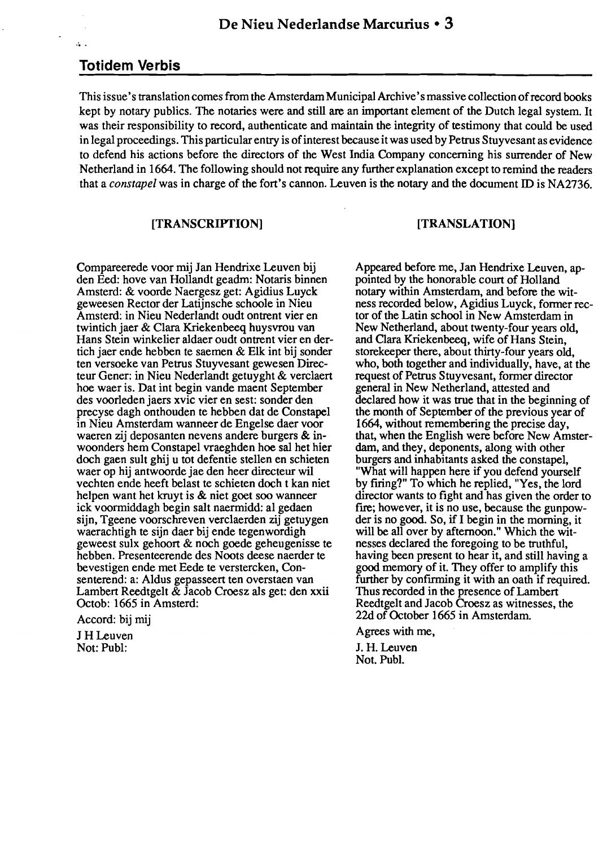### **Totidem Verbis**

 $\mathbf{A}$ 

This issue's translation comes from the Amsterdam Municipal Archive's massive collection of record books kept by notary publics. The notaries were and still are an important element of the Dutch legal system. It was their responsibility to record, authenticate and maintain the integrity of testimony that could be used in legal proceedings. This particular entry is of interest because it was used by Petrus Stuyvesant as evidence to defend his actions before the directors of the West India Company concerning his surrender of New Netherland in 1664. The following should not require any further explanation except to remind the readers that a *constapel* was in charge of the fort's cannon. Leuven is the notary and the document ID is NA2736.

#### [TRANSCRIPTION]

### [TRANSLATION]

Compareerede voor mij Jan Hendrixe Leuven bij den Eed: hove van Hollandt geadm: Notaris binnen Amsterd: & voorde Naergesz get: Agidius Luyck geweesen Rector der Latijnsche schoole in Nieu Amsterd: in Nieu Nederlandt oudt ontrent vier en twintich jaer & Clara Kriekenbeeq huysvrou van Hans Stein winkelier aldaer oudt ontrent vier en dertich jaer ende hebben te saemen & Elk int bij sonder ten versoeke van Petrus Stuyvesant gewesen Directeur Gener: in Nieu Nederlandt getuyght & verclaert hoe waer is. Dat int begin vande maent September des voorleden jaers xvic vier en sest: sonder den precyse dagh onthouden te hebben dat de Constapel in Nieu Amsterdam wanneer de Engelse daer voor waeren zij deposanten nevens andere burgers & inwoonders hem Constapel vraeghden hoe sal het hier doch gaen suIt ghij u tot defentie stellen en schieten waer op hij antwoorde jae den heer directeur wil vechten ende heeft belast te schieten doch t kan niet helpen want het kruyt is & niet goet soo wanneer ick voormiddagh begin salt naermidd: al gedaen sijn, Tgeene voorschreven verc1aerden zij getuygen waerachtigh te sijn daer bij ende tegenwordigh geweest sulx gehoort & noch goede geheugenisse te hebben. Presenteerende des Noots deese naerder te bevestigen ende met Eede te verstercken, Consenterend: a: Aldus gepasseert ten overstaen van Lambert ReedtgeIt & Jacob Croesz als get: den xxii Octob: 1665 in Amsterd:

Accord: bij mij

J HLeuven Not: Publ:

Appeared before me, Jan Hendrixe Leuven, appointed by the honorable court of Holland notary within Amsterdam, and before the witness recorded below, Agidius Luyck, former rector of the Latin school in New Amsterdam in New Netherland, about twenty-four years old, and Clara Kriekenbeeq, wife of Hans Stein, storekeeper there, about thirty-four years old, who, both together and individually, have, at the request of Petrus Stuyvesant, former director general in New Netherland, attested and declared how it was true that in the beginning of the month of September of the previous year of 1664, without remembering the precise day, that, when the English were before New Amsterdam, and they, deponents, along with other burgers and inhabitants asked the constapel, "What will happen here if you defend yourself by firing?" To which he replied, "Yes, the lord director wants to fight and has given the order to fire; however, it is no use, because the gunpowder is no good. So, if I begin in the morning, it will be all over by afternoon." Which the witnesses declared the foregoing to be truthful, having been present to hear it, and still having a good memory of it. They offer to amplify this further by confirming it with an oath if required. Thus recorded in the presence of Lambert Reedtgelt and Jacob Croesz as witnesses, the 22d of October 1665 in Amsterdam.

Agrees with me,

J. H. Leuven Not. Pub!.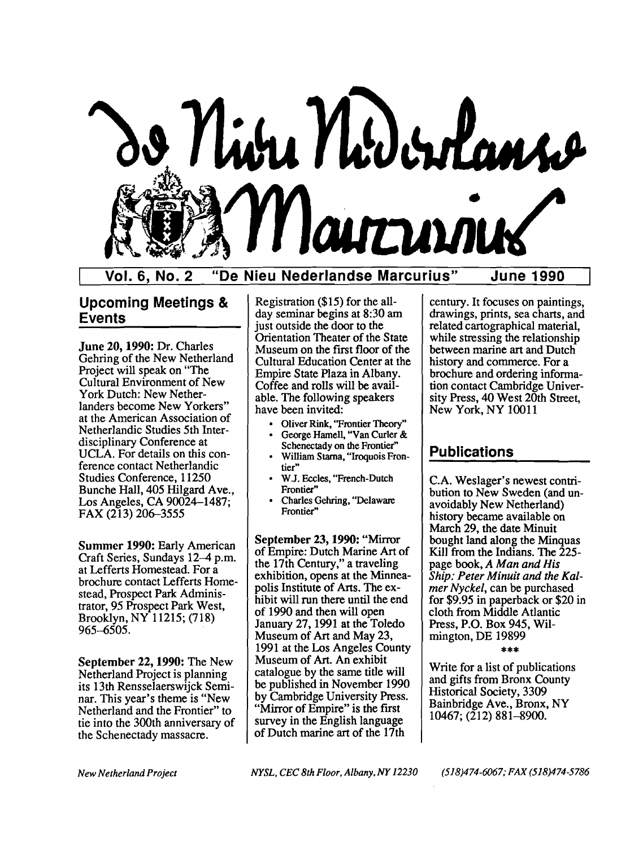

Vol. 6, No.2 "De Nieu Nederlandse Marcurius" June 1990

# Upcoming Meetings & Events

June 20,1990: Dr. Charles Gehring of the New Netherland Project will speak on "The Cultural Environment of New York Dutch: New Netherlanders become New Yorkers" at the American Association of Netherlandic Studies 5th Interdisciplinary Conference at UCLA. For details on this conference contact Netherlandic Studies Conference, 11250 Bunche Hall, 405 Hilgard Ave., Los Angeles, CA 90024-1487; FAX (213) 206-3555

Summer 1990: Early American Craft Series, Sundays 12–4 p.m. at Lefferts Homestead. For a brochure contact Lefferts Homestead, Prospect Park Administrator, 95 Prospect Park West, Brooklyn, NY 11215; (718) 965~505.

September 22, 1990: The New Netherland Project is planning its 13th Rensselaerswijck Seminar. This year's theme is "New Netherland and the Frontier" to tie into the 300th anniversary of the Schenectady massacre.

Registration (\$15) for the allday seminar begins at 8:30 am just outside the door to the Orientation Theater of the State Museum on the first floor of the Cultural Education Center at the Empire State Plaza in Albany. Coffee and rolls will be available. The following speakers have been invited:

- Oliver Rink, "Frontier Theory"
- George Hamell, "Van Curler &<br>Schenectady on the Frontier"
- William Starna, "Iroquois Frontier"
- W.J. Eccles, "French-Dutch Frontier"
- Charles Gehring, "Delaware Frontier"

September 23, 1990: "Mirror of Empire: Dutch Marine Art of the 17th Century," a traveling exhibition, opens at the Minneapolis Institute of Arts. The exhibit will run there until the end of 1990 and then will open January 27, 1991 at the Toledo Museum of Art and May 23, 1991 at the Los Angeles County Museum of Art. An exhibit catalogue by the same title will be published in November 1990 by Cambridge University Press. "Mirror of Empire" is the first survey in the English language of Dutch marine art of the 17th

century. It focuses on paintings, drawings, prints, sea charts, and related cartographical material, while stressing the relationship between marine art and Dutch history and commerce. For a brochure and ordering information contact Cambridge University Press, 40 West 20th Street, New York, NY 10011

# Publications

C.A. Weslager's newest contribution to New Sweden (and unavoidably New Netherland) history became available on March 29, the date Minuit bought land along the Minquas Kill from the Indians. The 225page book, *A Man and His*  cloth from Middle Atlantic *mer Nyckel,*  can be purchased for \$9.95 in paperback or \$20 in *Ship: Peter Minuit and the Kal-*Press, P.O. Box 945, Wilmington, DE 19899

#### \*\*\*

Write for a list of publications and gifts from Bronx County Historical Society, 3309 Bainbridge Ave., Bronx, NY 10467; (212) 881-8900.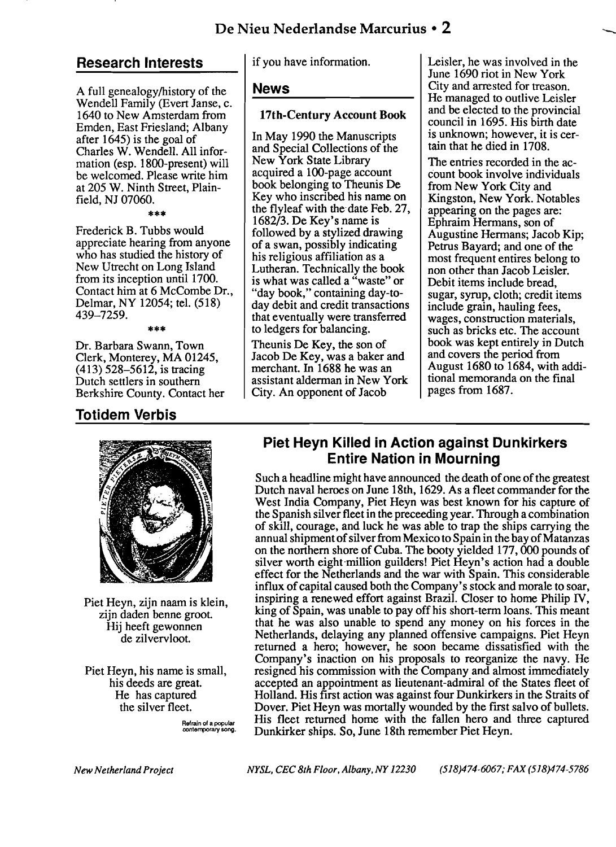# De Nieu Nederlandse Marcurius • 2

## **Research Interests**

A full genealogy/history of the Wendell Family (Evert Janse, c. 1640 to New Amsterdam from Emden, East Friesland; Albany after 1645) is the goal of Charles W. Wendell. All information (esp. l800-present) will be welcomed. Please write him at 205 W. Ninth Street, Plainfield, NJ 07060.

\*\*\*

Frederick B. Tubbs would appreciate hearing from anyone who has studied the history of New Utrecht on Long Island from its inception until 1700. Contact him at 6 McCombe Dr., Delmar, NY 12054; tel. (518) 439-7259.

\*\*\*

Dr. Barbara Swann, Town Clerk, Monterey, MA 01245,  $(413)$  528–5612, is tracing Dutch settlers in southern Berkshire County. Contact her

# **Totidem Verbis**



Piet Heyn, zijn naam is klein, zijn daden benne groot. Hij heeft gewonnen de zilvervloot.

Piet Heyn, his name is small, his deeds are great. He has captured the silver fleet.

> Refrain of a popular contemporary song.

if you have information.

#### **News**

### 17th-Century Account Book

In May 1990 the Manuscripts and Special Collections of the New York State Library acquired a 1oo-page account book belonging to Theunis De Key who inscribed his name on the flyleaf with the date Feb. 27, 1682/3. De Key's name is followed by a stylized drawing of a swan, possibly indicating his religious affiliation as a Lutheran. Technically the book is what was called a "waste" or "day book," containing day-today debit and credit transactions that eventually were transferred to ledgers for balancing.

Theunis De Key, the son of Jacob De Key, was a baker and merchant. In 1688 he was an assistant alderman in New York City. An opponent of Jacob

Leisler, he was involved in the June 1690 riot in New York City and arrested for treason. He managed to outlive Leisler and be elected to the provincial council in 1695. His birth date is unknown; however, it is certain that he died in 1708.

The entries recorded in the account book involve individuals from New York City and Kingston, New York. Notables appearing on the pages are: Ephraim Hermans, son of Augustine Hermans; Jacob Kip; Petrus Bayard; and one of the most frequent entires belong to non other than Jacob Leisler. Debit items include bread, sugar, syrup, cloth; credit items include grain, hauling fees, wages, construction materials, such as bricks etc. The account book was kept entirely in Dutch and covers the period from August 1680 to 1684, with additional memoranda on the final pages from 1687.

# **Piet Heyn Killed in Action against Dunkirkers Entire Nation in Mourning**

Such a headline might have announced the death of one of the greatest Dutch naval heroes on June 18th, 1629. As a fleet commander for the West India Company, Piet Heyn was best known for his capture of the Spanish silver fleet in the preceeding year. Through a combination of skill, courage, and luck he was able to trap the ships carrying the annual shipment of silver from Mexico to Spain in the bay of Matanzas on the northern shore of Cuba. The booty yielded 177, 000 pounds of silver worth eight-million guilders! Piet Heyn's action had a double effect for the Netherlands and the war with Spain. This considerable influx of capital caused both the Company's stock and morale to soar, inspiring a renewed effort against Brazil. Closer to home Philip IV, king of Spain, was unable to payoff his short-term loans. This meant that he was also unable to spend any money on his forces in the Netherlands, delaying any planned offensive campaigns. Piet Heyn returned a hero; however, he soon became dissatisfied with the Company's inaction on his proposals to reorganize the navy. He resigned his commission with the Company and almost immediately accepted an appointment as lieutenant-admiral of the States fleet of Holland. His first action was against four Dunkirkers in the Straits of Dover. Piet Heyn was mortally wounded by the first salvo of bullets. His fleet returned home with the fallen hero and three captured Dunkirker ships. So, June 18th remember Piet Heyn.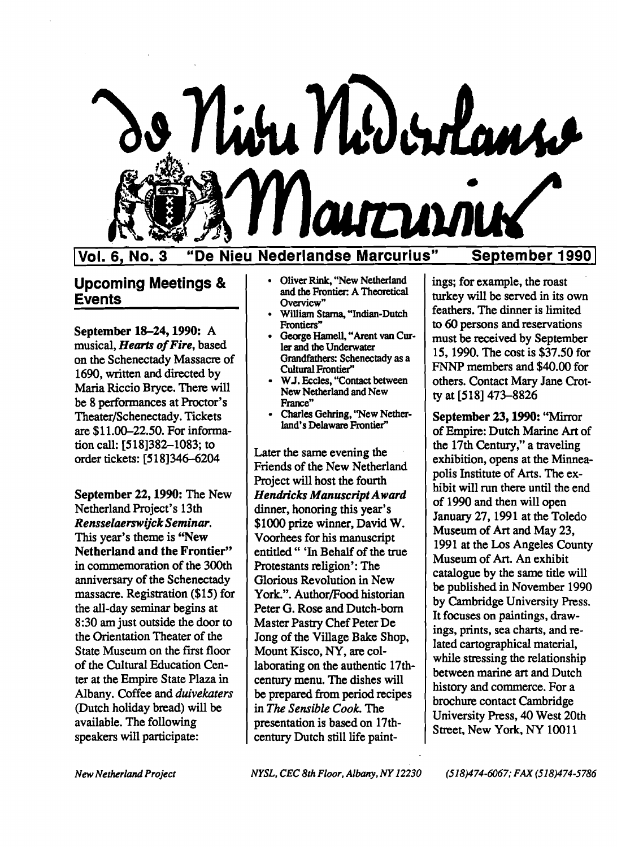

Vol. 6, No. 3 "De Nieu Nederlandse Marcurius" September 1990

September 18-24, 1990: A musical, *Hearts of Fire*, based on the Schenectady Massacre of 1690, written and directed by Maria Riccio Bryce. There will be 8 performances at Proctor's Theater/Schenectady. Tickets are \$11.00-22.50. For information call: [518]382-1083; to order tickets: [518]346-6204

September 22, 1990: The New Netherland Project's 13th *RensselaerswijckSeminar.*  This year's theme is "New Netherland and the Frontier" in commemoration of the 300th anniversary of the Schenectady massacre. Registration (\$15) for the all-day seminar begins at 8:30 am just outside the door to the Orientation Theater of the State Museum on the first floor of the Cultural Education Center at the Empire State Plaza in Albany. Coffee and *duivekaters*  (Dutch holiday bread) will be available. The following speakers will participate:

- 
- William Starna, "Indian-Dutch Frontiers"
- George Hamell, "Arent van Cur-<br>ler and the Underwater Grandfathers: Schenectady as a Cultural Frontier"
- W.J. Eccles, "Contact between New Netherland and New<br>France"
- Charles Gehring, "New Netherland's Delaware Frontier"

Later the same evening the Friends of the New Netherland Project will host the fourth *Hendricks Manuscript Award*  dinner, honoring this year's \$1000 prize winner, David W. Voorhees for his manuscript entitled" 'In Behalf of the true Protestants religion': The Glorious Revolution in New York.". Author/Food historian Peter G. Rose and Dutch-born Master Pastry Chef Peter De long of the Village Bake Shop, Mount Kisco, NY, are collaborating on the authentic 17thcentury menu. The dishes will be prepared from period recipes in *The Sensible Cook.* The presentation is based on 17thcentury Dutch still life paint-

Upcoming Meetings & biverRink, "New Netherland ings; for example, the roast and the Frontier: A Theoretical turkey will be served in its own overview"<br>
Network overview"<br>
Supplying Starps "Indian Dutch feathers. The dinner to 60 persons and reservations must be received by September 15, 1990. The cost is \$37.50 for FNNP members and \$40.00 for others. Contact Mary Jane Crotty at [518] 473-8826

> September 23, 1990: "Mirror ofEmpire: Dutch Marine Art of the 17th Century," a traveling exhibition, opens at the Minneapolis Institute of Arts. The exhibit will run there until the end of 1990 and then will open January 27, 1991 at the Toledo Museum of Art and May 23, 1991 at the Los Angeles County Museum of Art. An exhibit catalogue by the same title will be published in November 1990 by Cambridge University Press. It focuses on paintings, drawings, prints, sea charts, and related cartographical material, while stressing the relationship between marine art and Dutch history and commerce. For a brochure contact Cambridge University Press, 40 West 20th Street, New York, NY 10011

*NewNetherlandProject* 

*NYSL, CEC8th Floor, Albany. NY 12230* 

(518)474-6067; FAX (518)474-5786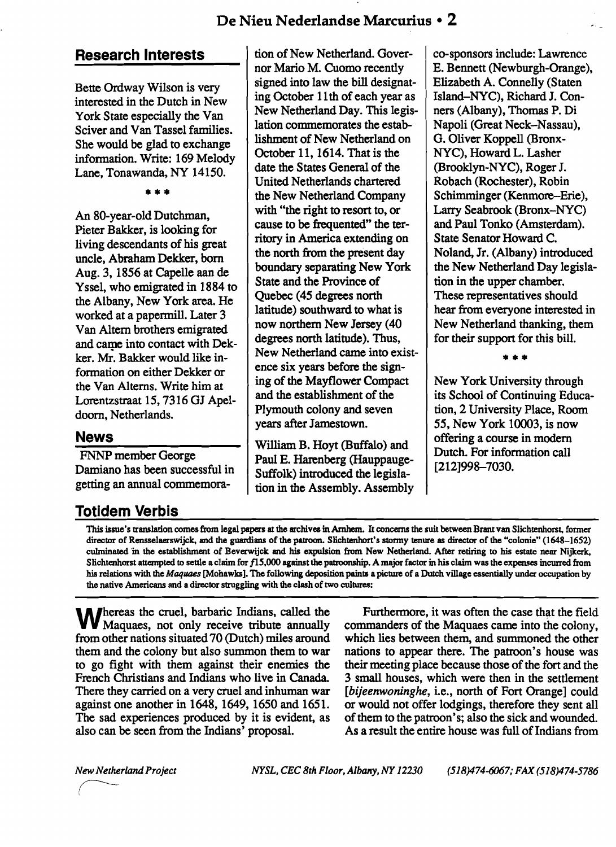# **Research Interests**

Bette Ordway Wilson is very interested in the Dutch in New York State especially the Van Sciver and Van Tassel families. She would be glad to exchange information. Write: 169 Melody Lane, Tonawanda, NY 14150.

**\*\*\*** 

An 80-year-old Dutchman, Pieter Bakker, is looking for living descendants of his great uncle, Abraham Dekker, born Aug. 3, 1856 at Capelle aan de Yssel, who emigrated in 1884 to the Albany, New York area. He worked at a papermill. Later 3 Van Altern brothers emigrated and came into contact with Dekker. Mr. Bakker would like information on either Dekker or the Van Altems. Write him at Lorentzstraat 15, 7316 GJ Apeldoom, Netherlands.

# **News**

FNNP member George Damiano has been successful in getting an annual commemora-

# **Totidem Verbis**

tion of New Netherland. Governor Mario M. Cuomo recently signed into law the bill designating October 11th of each year as New Netherland Day. This legislation commemorates the establishment of New Netherland on October 11, 1614. That is the date the States General of the United Netherlands chartered the New Netherland Company with "the right to resort to, or cause to be frequented" the territory in America extending on the north from the present day boundary separating New York State and the Province of Quebec (45 degrees north latitude) southward to what is now northern New Jersey (40 degrees north latitude). Thus, New Netherland came into existence six years before the signing of the Mayflower Compact and the establishment of the Plymouth colony and seven years after Jamestown.

William B. Hoyt (Buffalo) and Paul E. Harenberg (Hauppauge-Suffolk) introduced the legislation in the Assembly. Assembly co-sponsors include: Lawrence E. Bennett (Newburgh-Orange), Elizabeth A. Connelly (Staten Island-NYC), Richard J. Conners (Albany), Thomas P. Di Napoli (Great Neck-Nassau), G. Oliver Koppell (Bronx-NYC), Howard L. Lasher (Brooklyn-NYC), Roger J. Robach (Rochester), Robin Schimminger (Kenmore-Erie), Larry Seabrook (Bronx-NYC) and Paul Tonko (Amsterdam). State Senator Howard C. Noland, Jr. (Albany) introduced the New Netherland Day legislation in the upper chamber. These representatives should hear from everyone interested in New Netherland thanking, them for their support for this bill.

**\*\*\*** 

New York University through its School of Continuing Education, 2 University Place, Room 55, New York 10003, is now offering a course in modem Dutch. For information call [212]998-7030.

This issue's translation comes from legal papers at the archives in Amhem. It concerns thesuit between Brant van Slichtenhorst, former director of RensseIaerswijck, and the guardians of the patroon. Slichtenhort's stonny tenure as director of the "colonie" (1648-1652) culminated in the establishment of Beverwijck and his expulsion from New Netherland. After retiring to his estate near Nijkerk, Slichtenhorst attempted to settle a claim for 115,000 against thepatroonship. A major factor in his claim was the expenses incurred from his relations with the Maquaes [Mohawks]. The following deposition paints a picture of a Dutch village essentially under occupation by the native Americans and a director struggling with the clash of two cultures:

Whereas the cruel, barbaric Indians, called the Maquaes, not only receive tribute annually from other nations situated 70 (Dutch) miles around them and the colony but also summon them to war to go fight with them against their enemies the French Christians and Indians who live in Canada. There they carried on a very cruel and inhuman war against one another in 1648, 1649, 1650 and 1651. The sad experiences produced by it is evident, as also can be seen from the Indians' proposal.

Furthermore, it was often the case that the field commanders of the Maquaes came into the colony, which lies between them, and summoned the other nations to appear there. The patroon's house was their meeting place because those of the fort and the 3 small houses, which were then in the settlement [bijeenwoninghe, i.e., north of Fort Orange] could or would not offer lodgings, therefore they sent all of them to the patroon's; also the sick and wounded. As a result the entire house was full of Indians from

New Netherland Project